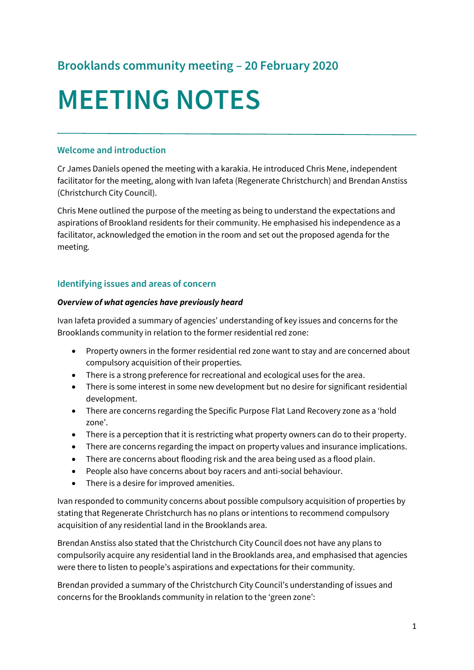# **Brooklands community meeting – 20 February 2020**

# **MEETING NOTES**

#### **Welcome and introduction**

Cr James Daniels opened the meeting with a karakia. He introduced Chris Mene, independent facilitator for the meeting, along with Ivan Iafeta (Regenerate Christchurch) and Brendan Anstiss (Christchurch City Council).

Chris Mene outlined the purpose of the meeting as being to understand the expectations and aspirations of Brookland residents for their community. He emphasised his independence as a facilitator, acknowledged the emotion in the room and set out the proposed agenda for the meeting*.*

#### **Identifying issues and areas of concern**

#### *Overview of what agencies have previously heard*

Ivan Iafeta provided a summary of agencies' understanding of key issues and concerns for the Brooklands community in relation to the former residential red zone:

- Property owners in the former residential red zone want to stay and are concerned about compulsory acquisition of their properties.
- There is a strong preference for recreational and ecological uses for the area.
- There is some interest in some new development but no desire for significant residential development.
- There are concerns regarding the Specific Purpose Flat Land Recovery zone as a 'hold zone'.
- There is a perception that it is restricting what property owners can do to their property.
- There are concerns regarding the impact on property values and insurance implications.
- There are concerns about flooding risk and the area being used as a flood plain.
- People also have concerns about boy racers and anti-social behaviour.
- There is a desire for improved amenities.

Ivan responded to community concerns about possible compulsory acquisition of properties by stating that Regenerate Christchurch has no plans or intentions to recommend compulsory acquisition of any residential land in the Brooklands area.

Brendan Anstiss also stated that the Christchurch City Council does not have any plans to compulsorily acquire any residential land in the Brooklands area, and emphasised that agencies were there to listen to people's aspirations and expectations for their community.

Brendan provided a summary of the Christchurch City Council's understanding of issues and concerns for the Brooklands community in relation to the 'green zone':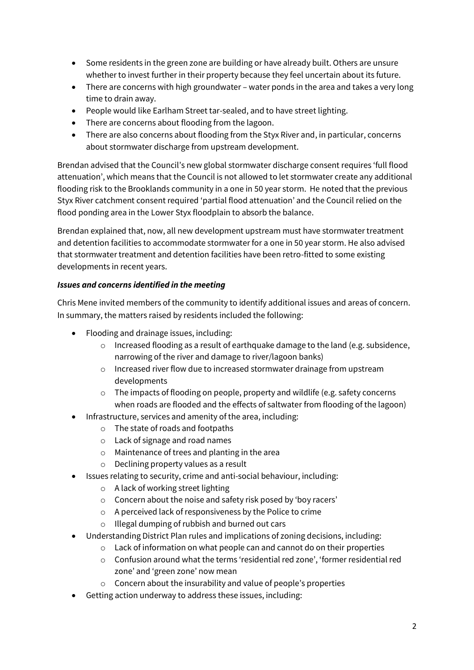- Some residents in the green zone are building or have already built. Others are unsure whether to invest further in their property because they feel uncertain about its future.
- There are concerns with high groundwater water ponds in the area and takes a very long time to drain away.
- People would like Earlham Street tar-sealed, and to have street lighting.
- There are concerns about flooding from the lagoon.
- There are also concerns about flooding from the Styx River and, in particular, concerns about stormwater discharge from upstream development.

Brendan advised that the Council's new global stormwater discharge consent requires 'full flood attenuation', which means that the Council is not allowed to let stormwater create any additional flooding risk to the Brooklands community in a one in 50 year storm. He noted that the previous Styx River catchment consent required 'partial flood attenuation' and the Council relied on the flood ponding area in the Lower Styx floodplain to absorb the balance.

Brendan explained that, now, all new development upstream must have stormwater treatment and detention facilities to accommodate stormwater for a one in 50 year storm. He also advised that stormwater treatment and detention facilities have been retro-fitted to some existing developments in recent years.

#### *Issues and concerns identified in the meeting*

Chris Mene invited members of the community to identify additional issues and areas of concern. In summary, the matters raised by residents included the following:

- Flooding and drainage issues, including:
	- o Increased flooding as a result of earthquake damage to the land (e.g. subsidence, narrowing of the river and damage to river/lagoon banks)
	- o Increased river flow due to increased stormwater drainage from upstream developments
	- o The impacts of flooding on people, property and wildlife (e.g. safety concerns when roads are flooded and the effects of saltwater from flooding of the lagoon)
	- Infrastructure, services and amenity of the area, including:
		- o The state of roads and footpaths
		- o Lack of signage and road names
		- o Maintenance of trees and planting in the area
		- o Declining property values as a result
- Issues relating to security, crime and anti-social behaviour, including:
	- o A lack of working street lighting
	- o Concern about the noise and safety risk posed by 'boy racers'
	- o A perceived lack of responsiveness by the Police to crime
	- o Illegal dumping of rubbish and burned out cars
- Understanding District Plan rules and implications of zoning decisions, including:
	- o Lack of information on what people can and cannot do on their properties
	- o Confusion around what the terms 'residential red zone', 'former residential red zone' and 'green zone' now mean
	- o Concern about the insurability and value of people's properties
- Getting action underway to address these issues, including: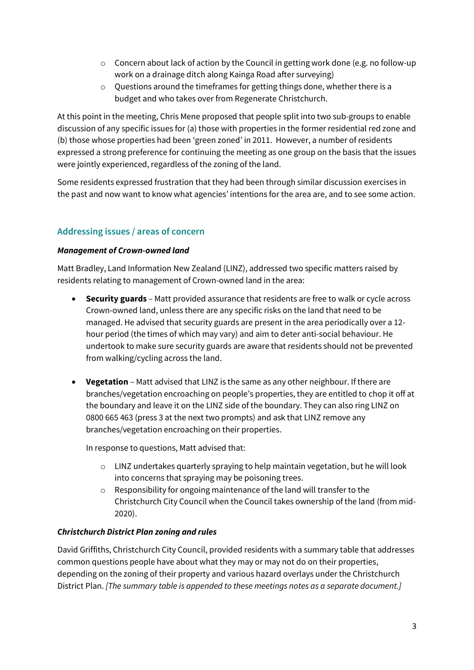- $\circ$  Concern about lack of action by the Council in getting work done (e.g. no follow-up work on a drainage ditch along Kainga Road after surveying)
- o Questions around the timeframes for getting things done, whether there is a budget and who takes over from Regenerate Christchurch.

At this point in the meeting, Chris Mene proposed that people split into two sub-groups to enable discussion of any specific issues for (a) those with properties in the former residential red zone and (b) those whose properties had been 'green zoned' in 2011. However, a number of residents expressed a strong preference for continuing the meeting as one group on the basis that the issues were jointly experienced, regardless of the zoning of the land.

Some residents expressed frustration that they had been through similar discussion exercises in the past and now want to know what agencies' intentions for the area are, and to see some action.

# **Addressing issues / areas of concern**

#### *Management of Crown-owned land*

Matt Bradley, Land Information New Zealand (LINZ), addressed two specific matters raised by residents relating to management of Crown-owned land in the area:

- **Security guards** Matt provided assurance that residents are free to walk or cycle across Crown-owned land, unless there are any specific risks on the land that need to be managed. He advised that security guards are present in the area periodically over a 12 hour period (the times of which may vary) and aim to deter anti-social behaviour. He undertook to make sure security guards are aware that residents should not be prevented from walking/cycling across the land.
- **Vegetation** Matt advised that LINZ is the same as any other neighbour. If there are branches/vegetation encroaching on people's properties, they are entitled to chop it off at the boundary and leave it on the LINZ side of the boundary. They can also ring LINZ on 0800 665 463 (press 3 at the next two prompts) and ask that LINZ remove any branches/vegetation encroaching on their properties.

In response to questions, Matt advised that:

- $\circ$  LINZ undertakes quarterly spraying to help maintain vegetation, but he will look into concerns that spraying may be poisoning trees.
- o Responsibility for ongoing maintenance of the land will transfer to the Christchurch City Council when the Council takes ownership of the land (from mid-2020).

#### *Christchurch District Plan zoning and rules*

David Griffiths, Christchurch City Council, provided residents with a summary table that addresses common questions people have about what they may or may not do on their properties, depending on the zoning of their property and various hazard overlays under the Christchurch District Plan. *[The summary table is appended to these meetings notes as a separate document.]*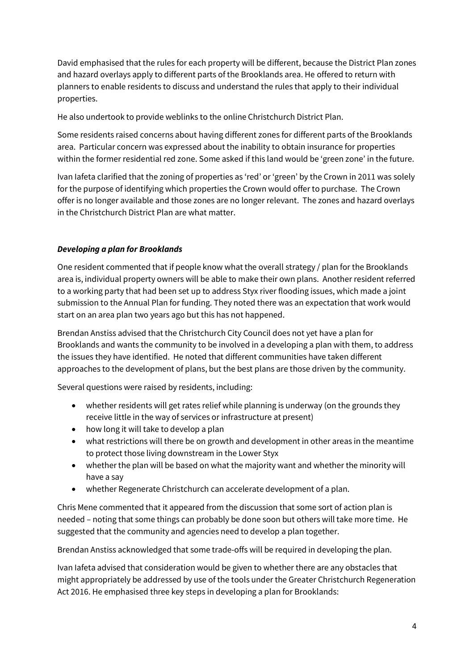David emphasised that the rules for each property will be different, because the District Plan zones and hazard overlays apply to different parts of the Brooklands area. He offered to return with planners to enable residents to discuss and understand the rules that apply to their individual properties.

He also undertook to provide weblinks to the online Christchurch District Plan.

Some residents raised concerns about having different zones for different parts of the Brooklands area. Particular concern was expressed about the inability to obtain insurance for properties within the former residential red zone. Some asked if this land would be 'green zone' in the future.

Ivan Iafeta clarified that the zoning of properties as 'red' or 'green' by the Crown in 2011 was solely for the purpose of identifying which properties the Crown would offer to purchase. The Crown offer is no longer available and those zones are no longer relevant. The zones and hazard overlays in the Christchurch District Plan are what matter.

#### *Developing a plan for Brooklands*

One resident commented that if people know what the overall strategy / plan for the Brooklands area is, individual property owners will be able to make their own plans. Another resident referred to a working party that had been set up to address Styx river flooding issues, which made a joint submission to the Annual Plan for funding. They noted there was an expectation that work would start on an area plan two years ago but this has not happened.

Brendan Anstiss advised that the Christchurch City Council does not yet have a plan for Brooklands and wants the community to be involved in a developing a plan with them, to address the issues they have identified. He noted that different communities have taken different approaches to the development of plans, but the best plans are those driven by the community.

Several questions were raised by residents, including:

- whether residents will get rates relief while planning is underway (on the grounds they receive little in the way of services or infrastructure at present)
- how long it will take to develop a plan
- what restrictions will there be on growth and development in other areas in the meantime to protect those living downstream in the Lower Styx
- whether the plan will be based on what the majority want and whether the minority will have a say
- whether Regenerate Christchurch can accelerate development of a plan.

Chris Mene commented that it appeared from the discussion that some sort of action plan is needed – noting that some things can probably be done soon but others will take more time. He suggested that the community and agencies need to develop a plan together.

Brendan Anstiss acknowledged that some trade-offs will be required in developing the plan.

Ivan Iafeta advised that consideration would be given to whether there are any obstacles that might appropriately be addressed by use of the tools under the Greater Christchurch Regeneration Act 2016. He emphasised three key steps in developing a plan for Brooklands: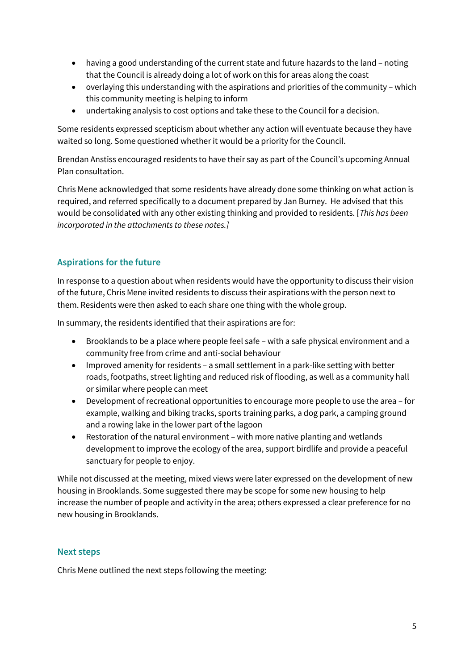- having a good understanding of the current state and future hazards to the land noting that the Council is already doing a lot of work on this for areas along the coast
- overlaying this understanding with the aspirations and priorities of the community which this community meeting is helping to inform
- undertaking analysis to cost options and take these to the Council for a decision.

Some residents expressed scepticism about whether any action will eventuate because they have waited so long. Some questioned whether it would be a priority for the Council.

Brendan Anstiss encouraged residents to have their say as part of the Council's upcoming Annual Plan consultation.

Chris Mene acknowledged that some residents have already done some thinking on what action is required, and referred specifically to a document prepared by Jan Burney. He advised that this would be consolidated with any other existing thinking and provided to residents. [*This has been incorporated in the attachments to these notes.]*

### **Aspirations for the future**

In response to a question about when residents would have the opportunity to discuss their vision of the future, Chris Mene invited residents to discuss their aspirations with the person next to them. Residents were then asked to each share one thing with the whole group.

In summary, the residents identified that their aspirations are for:

- Brooklands to be a place where people feel safe with a safe physical environment and a community free from crime and anti-social behaviour
- Improved amenity for residents a small settlement in a park-like setting with better roads, footpaths, street lighting and reduced risk of flooding, as well as a community hall or similar where people can meet
- Development of recreational opportunities to encourage more people to use the area for example, walking and biking tracks, sports training parks, a dog park, a camping ground and a rowing lake in the lower part of the lagoon
- Restoration of the natural environment with more native planting and wetlands development to improve the ecology of the area, support birdlife and provide a peaceful sanctuary for people to enjoy.

While not discussed at the meeting, mixed views were later expressed on the development of new housing in Brooklands. Some suggested there may be scope for some new housing to help increase the number of people and activity in the area; others expressed a clear preference for no new housing in Brooklands.

#### **Next steps**

Chris Mene outlined the next steps following the meeting: